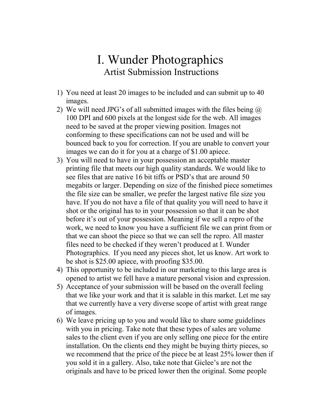## I. Wunder Photographics Artist Submission Instructions

- 1) You need at least 20 images to be included and can submit up to 40 images.
- 2) We will need JPG's of all submitted images with the files being  $\omega$ 100 DPI and 600 pixels at the longest side for the web. All images need to be saved at the proper viewing position. Images not conforming to these specifications can not be used and will be bounced back to you for correction. If you are unable to convert your images we can do it for you at a charge of \$1.00 apiece.
- 3) You will need to have in your possession an acceptable master printing file that meets our high quality standards. We would like to see files that are native 16 bit tiffs or PSD's that are around 50 megabits or larger. Depending on size of the finished piece sometimes the file size can be smaller, we prefer the largest native file size you have. If you do not have a file of that quality you will need to have it shot or the original has to in your possession so that it can be shot before it's out of your possession. Meaning if we sell a repro of the work, we need to know you have a sufficient file we can print from or that we can shoot the piece so that we can sell the repro. All master files need to be checked if they weren't produced at I. Wunder Photographics. If you need any pieces shot, let us know. Art work to be shot is \$25.00 apiece, with proofing \$35.00.
- 4) This opportunity to be included in our marketing to this large area is opened to artist we fell have a mature personal vision and expression.
- 5) Acceptance of your submission will be based on the overall feeling that we like your work and that it is salable in this market. Let me say that we currently have a very diverse scope of artist with great range of images.
- 6) We leave pricing up to you and would like to share some guidelines with you in pricing. Take note that these types of sales are volume sales to the client even if you are only selling one piece for the entire installation. On the clients end they might be buying thirty pieces, so we recommend that the price of the piece be at least 25% lower then if you sold it in a gallery. Also, take note that Giclee's are not the originals and have to be priced lower then the original. Some people